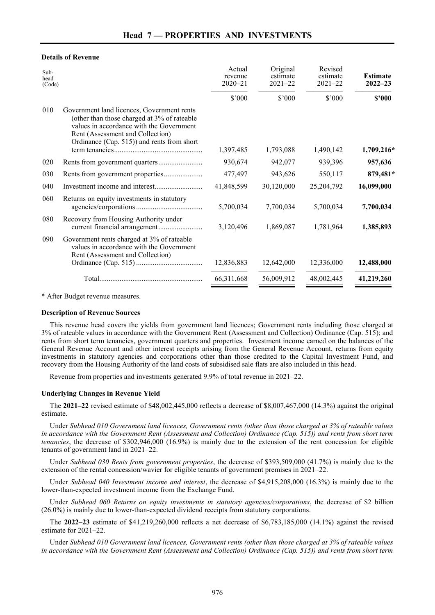## **Details of Revenue**

| Sub-<br>head<br>(Code) |                                                                                                                                                                                                                         | Actual<br>revenue<br>$2020 - 21$ | Original<br>estimate<br>$2021 - 22$ | Revised<br>estimate<br>$2021 - 22$ | <b>Estimate</b><br>$2022 - 23$ |
|------------------------|-------------------------------------------------------------------------------------------------------------------------------------------------------------------------------------------------------------------------|----------------------------------|-------------------------------------|------------------------------------|--------------------------------|
|                        |                                                                                                                                                                                                                         | \$'000                           | \$'000                              | \$'000                             | \$2000                         |
| 010                    | Government land licences, Government rents<br>(other than those charged at 3% of rateable<br>values in accordance with the Government<br>Rent (Assessment and Collection)<br>Ordinance (Cap. 515)) and rents from short |                                  | 1,793,088                           | 1,490,142                          | 1,709,216*                     |
|                        |                                                                                                                                                                                                                         | 1,397,485                        |                                     |                                    |                                |
| 020                    |                                                                                                                                                                                                                         | 930,674                          | 942,077                             | 939,396                            | 957,636                        |
| 030                    |                                                                                                                                                                                                                         | 477,497                          | 943,626                             | 550,117                            | 879,481*                       |
| 040                    |                                                                                                                                                                                                                         | 41,848,599                       | 30,120,000                          | 25,204,792                         | 16,099,000                     |
| 060                    | Returns on equity investments in statutory                                                                                                                                                                              | 5,700,034                        | 7,700,034                           | 5,700,034                          | 7,700,034                      |
| 080                    | Recovery from Housing Authority under<br>current financial arrangement                                                                                                                                                  | 3,120,496                        | 1,869,087                           | 1,781,964                          | 1,385,893                      |
| 090                    | Government rents charged at 3% of rateable<br>values in accordance with the Government<br>Rent (Assessment and Collection)                                                                                              | 12,836,883                       | 12,642,000                          | 12,336,000                         | 12,488,000                     |
|                        |                                                                                                                                                                                                                         | 66,311,668                       | 56,009,912                          | 48,002,445                         | 41,219,260                     |

\* After Budget revenue measures.

## **Description of Revenue Sources**

This revenue head covers the yields from government land licences; Government rents including those charged at 3% of rateable values in accordance with the Government Rent (Assessment and Collection) Ordinance (Cap. 515); and rents from short term tenancies, government quarters and properties. Investment income earned on the balances of the General Revenue Account and other interest receipts arising from the General Revenue Account, returns from equity investments in statutory agencies and corporations other than those credited to the Capital Investment Fund, and recovery from the Housing Authority of the land costs of subsidised sale flats are also included in this head.

Revenue from properties and investments generated 9.9% of total revenue in 2021–22.

## **Underlying Changes in Revenue Yield**

The **2021–22** revised estimate of \$48,002,445,000 reflects a decrease of \$8,007,467,000 (14.3%) against the original estimate.

Under *Subhead 010 Government land licences, Government rents (other than those charged at 3% of rateable values in accordance with the Government Rent (Assessment and Collection) Ordinance (Cap. 515)) and rents from short term tenancies*, the decrease of \$302,946,000 (16.9%) is mainly due to the extension of the rent concession for eligible tenants of government land in 2021–22.

Under *Subhead 030 Rents from government properties*, the decrease of \$393,509,000 (41.7%) is mainly due to the extension of the rental concession/wavier for eligible tenants of government premises in 2021–22.

Under *Subhead 040 Investment income and interest*, the decrease of \$4,915,208,000 (16.3%) is mainly due to the lower-than-expected investment income from the Exchange Fund.

Under *Subhead 060 Returns on equity investments in statutory agencies/corporations*, the decrease of \$2 billion (26.0%) is mainly due to lower-than-expected dividend receipts from statutory corporations.

The **2022–23** estimate of \$41,219,260,000 reflects a net decrease of \$6,783,185,000 (14.1%) against the revised estimate for 2021–22.

Under *Subhead 010 Government land licences, Government rents (other than those charged at 3% of rateable values in accordance with the Government Rent (Assessment and Collection) Ordinance (Cap. 515)) and rents from short term*